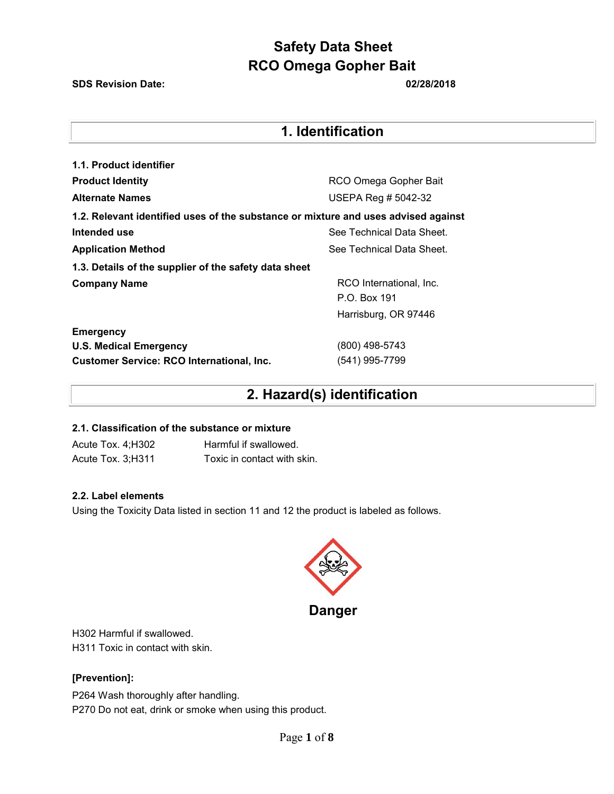**SDS Revision Date: 02/28/2018**

# **1. Identification**

| 1.1. Product identifier                                                            |                           |  |  |
|------------------------------------------------------------------------------------|---------------------------|--|--|
| <b>Product Identity</b>                                                            | RCO Omega Gopher Bait     |  |  |
| <b>Alternate Names</b>                                                             | USEPA Reg # 5042-32       |  |  |
| 1.2. Relevant identified uses of the substance or mixture and uses advised against |                           |  |  |
| Intended use                                                                       | See Technical Data Sheet. |  |  |
| <b>Application Method</b>                                                          | See Technical Data Sheet. |  |  |
| 1.3. Details of the supplier of the safety data sheet                              |                           |  |  |
| <b>Company Name</b>                                                                | RCO International, Inc.   |  |  |
|                                                                                    | P.O. Box 191              |  |  |
|                                                                                    | Harrisburg, OR 97446      |  |  |
| <b>Emergency</b>                                                                   |                           |  |  |
| <b>U.S. Medical Emergency</b>                                                      | (800) 498-5743            |  |  |
| <b>Customer Service: RCO International, Inc.</b>                                   | (541) 995-7799            |  |  |

# **2. Hazard(s) identification**

#### **2.1. Classification of the substance or mixture**

Acute Tox. 4;H302 Harmful if swallowed. Acute Tox. 3;H311 Toxic in contact with skin.

#### **2.2. Label elements**

Using the Toxicity Data listed in section 11 and 12 the product is labeled as follows.



**Danger** 

H302 Harmful if swallowed. H311 Toxic in contact with skin.

### **[Prevention]:**

P264 Wash thoroughly after handling. P270 Do not eat, drink or smoke when using this product.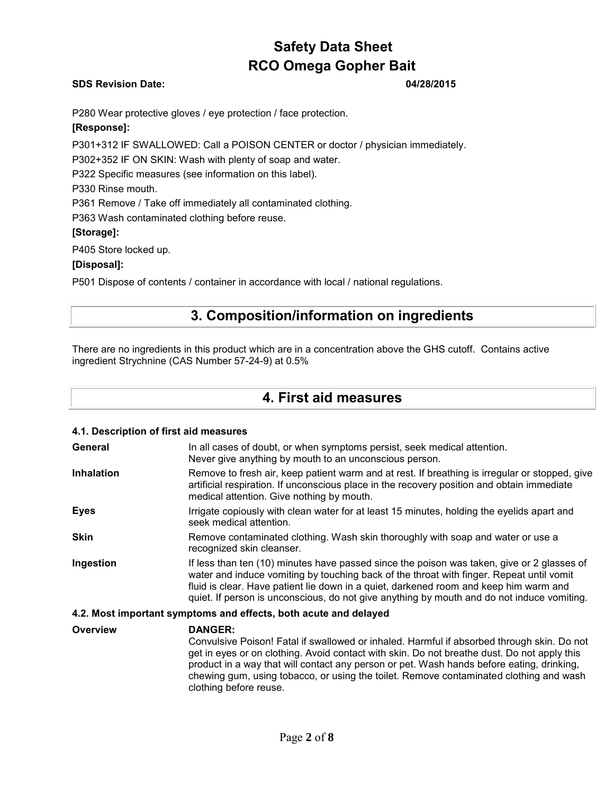#### **SDS Revision Date: 04/28/2015**

P280 Wear protective gloves / eye protection / face protection.

### **[Response]:**

P301+312 IF SWALLOWED: Call a POISON CENTER or doctor / physician immediately.

P302+352 IF ON SKIN: Wash with plenty of soap and water.

P322 Specific measures (see information on this label).

P330 Rinse mouth.

P361 Remove / Take off immediately all contaminated clothing.

P363 Wash contaminated clothing before reuse.

#### **[Storage]:**

P405 Store locked up.

#### **[Disposal]:**

P501 Dispose of contents / container in accordance with local / national regulations.

# **3. Composition/information on ingredients**

There are no ingredients in this product which are in a concentration above the GHS cutoff. Contains active ingredient Strychnine (CAS Number 57-24-9) at 0.5%

### **4. First aid measures**

### **4.1. Description of first aid measures General** In all cases of doubt, or when symptoms persist, seek medical attention. Never give anything by mouth to an unconscious person. **Inhalation** Remove to fresh air, keep patient warm and at rest. If breathing is irregular or stopped, give artificial respiration. If unconscious place in the recovery position and obtain immediate medical attention. Give nothing by mouth. **Eyes** Irrigate copiously with clean water for at least 15 minutes, holding the eyelids apart and seek medical attention. **Skin** Remove contaminated clothing. Wash skin thoroughly with soap and water or use a recognized skin cleanser. **Ingestion** If less than ten (10) minutes have passed since the poison was taken, give or 2 glasses of water and induce vomiting by touching back of the throat with finger. Repeat until vomit fluid is clear. Have patient lie down in a quiet, darkened room and keep him warm and quiet. If person is unconscious, do not give anything by mouth and do not induce vomiting. **4.2. Most important symptoms and effects, both acute and delayed**

**Overview DANGER:**  Convulsive Poison! Fatal if swallowed or inhaled. Harmful if absorbed through skin. Do not get in eyes or on clothing. Avoid contact with skin. Do not breathe dust. Do not apply this product in a way that will contact any person or pet. Wash hands before eating, drinking, chewing gum, using tobacco, or using the toilet. Remove contaminated clothing and wash clothing before reuse.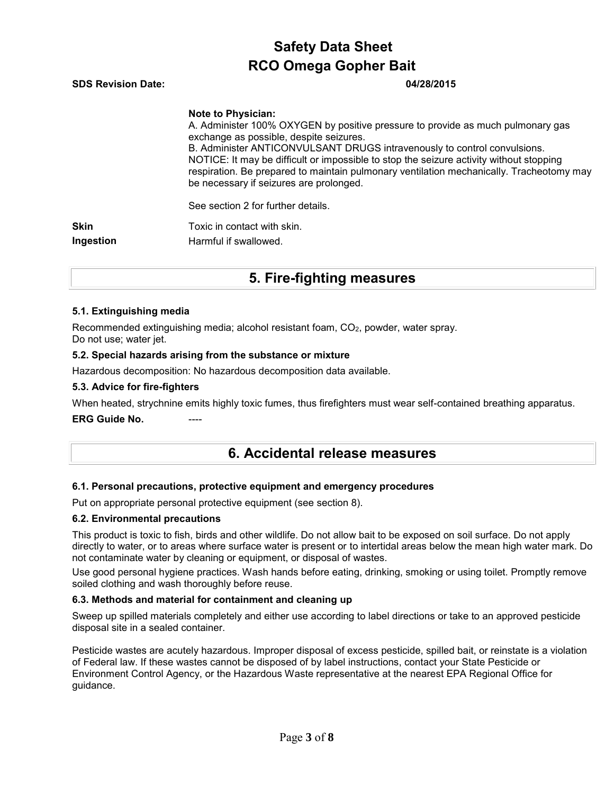| <b>SDS Revision Date:</b> |  |  |  | 04/28/2015 |  |  |
|---------------------------|--|--|--|------------|--|--|
|                           |  |  |  |            |  |  |
|                           |  |  |  |            |  |  |

#### **Note to Physician:**

A. Administer 100% OXYGEN by positive pressure to provide as much pulmonary gas exchange as possible, despite seizures. B. Administer ANTICONVULSANT DRUGS intravenously to control convulsions. NOTICE: It may be difficult or impossible to stop the seizure activity without stopping respiration. Be prepared to maintain pulmonary ventilation mechanically. Tracheotomy may be necessary if seizures are prolonged.

See section 2 for further details.

**Skin** Toxic in contact with skin. **Ingestion** Harmful if swallowed.

# **5. Fire-fighting measures**

#### **5.1. Extinguishing media**

Recommended extinguishing media; alcohol resistant foam, CO2, powder, water spray. Do not use; water jet.

#### **5.2. Special hazards arising from the substance or mixture**

Hazardous decomposition: No hazardous decomposition data available.

#### **5.3. Advice for fire-fighters**

When heated, strychnine emits highly toxic fumes, thus firefighters must wear self-contained breathing apparatus.

**ERG Guide No.** 

## **6. Accidental release measures**

#### **6.1. Personal precautions, protective equipment and emergency procedures**

Put on appropriate personal protective equipment (see section 8).

#### **6.2. Environmental precautions**

This product is toxic to fish, birds and other wildlife. Do not allow bait to be exposed on soil surface. Do not apply directly to water, or to areas where surface water is present or to intertidal areas below the mean high water mark. Do not contaminate water by cleaning or equipment, or disposal of wastes.

Use good personal hygiene practices. Wash hands before eating, drinking, smoking or using toilet. Promptly remove soiled clothing and wash thoroughly before reuse.

#### **6.3. Methods and material for containment and cleaning up**

Sweep up spilled materials completely and either use according to label directions or take to an approved pesticide disposal site in a sealed container.

Pesticide wastes are acutely hazardous. Improper disposal of excess pesticide, spilled bait, or reinstate is a violation of Federal law. If these wastes cannot be disposed of by label instructions, contact your State Pesticide or Environment Control Agency, or the Hazardous Waste representative at the nearest EPA Regional Office for guidance.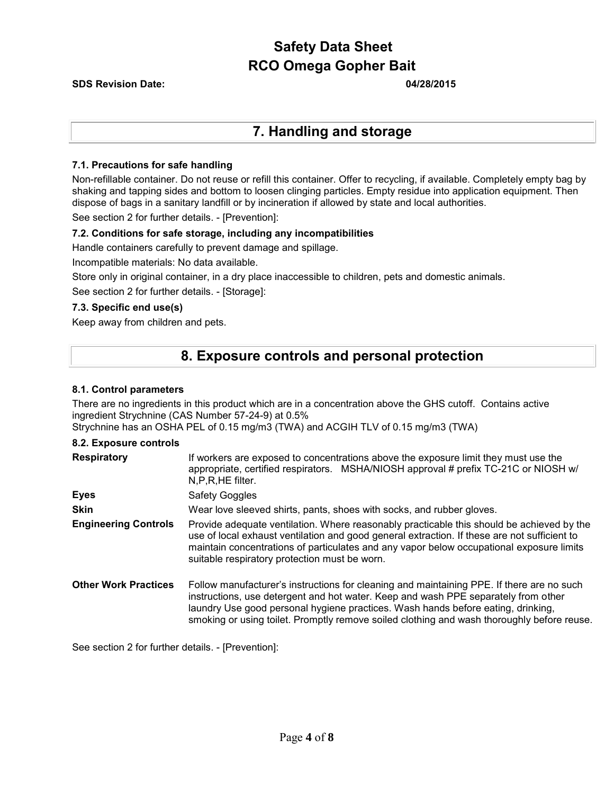#### **SDS Revision Date: 04/28/2015**

### **7. Handling and storage**

#### **7.1. Precautions for safe handling**

Non-refillable container. Do not reuse or refill this container. Offer to recycling, if available. Completely empty bag by shaking and tapping sides and bottom to loosen clinging particles. Empty residue into application equipment. Then dispose of bags in a sanitary landfill or by incineration if allowed by state and local authorities.

See section 2 for further details. - [Prevention]:

#### **7.2. Conditions for safe storage, including any incompatibilities**

Handle containers carefully to prevent damage and spillage.

Incompatible materials: No data available.

Store only in original container, in a dry place inaccessible to children, pets and domestic animals.

See section 2 for further details. - [Storage]:

#### **7.3. Specific end use(s)**

Keep away from children and pets.

### **8. Exposure controls and personal protection**

#### **8.1. Control parameters**

There are no ingredients in this product which are in a concentration above the GHS cutoff. Contains active ingredient Strychnine (CAS Number 57-24-9) at 0.5%

Strychnine has an OSHA PEL of 0.15 mg/m3 (TWA) and ACGIH TLV of 0.15 mg/m3 (TWA)

#### **8.2. Exposure controls**

| <b>Respiratory</b>          | If workers are exposed to concentrations above the exposure limit they must use the<br>appropriate, certified respirators. MSHA/NIOSH approval # prefix TC-21C or NIOSH w/<br>N,P,R,HE filter.                                                                                                                                                                    |  |  |  |  |  |
|-----------------------------|-------------------------------------------------------------------------------------------------------------------------------------------------------------------------------------------------------------------------------------------------------------------------------------------------------------------------------------------------------------------|--|--|--|--|--|
| <b>Eyes</b>                 | <b>Safety Goggles</b>                                                                                                                                                                                                                                                                                                                                             |  |  |  |  |  |
| <b>Skin</b>                 | Wear love sleeved shirts, pants, shoes with socks, and rubber gloves.                                                                                                                                                                                                                                                                                             |  |  |  |  |  |
| <b>Engineering Controls</b> | Provide adequate ventilation. Where reasonably practicable this should be achieved by the<br>use of local exhaust ventilation and good general extraction. If these are not sufficient to<br>maintain concentrations of particulates and any vapor below occupational exposure limits<br>suitable respiratory protection must be worn.                            |  |  |  |  |  |
| <b>Other Work Practices</b> | Follow manufacturer's instructions for cleaning and maintaining PPE. If there are no such<br>instructions, use detergent and hot water. Keep and wash PPE separately from other<br>laundry Use good personal hygiene practices. Wash hands before eating, drinking,<br>smoking or using toilet. Promptly remove soiled clothing and wash thoroughly before reuse. |  |  |  |  |  |

See section 2 for further details. - [Prevention]: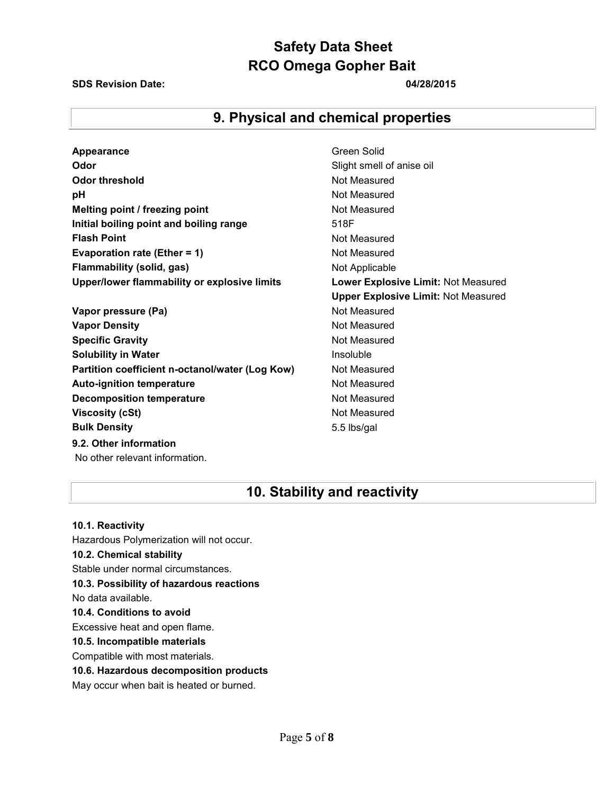#### **SDS Revision Date: 04/28/2015**

# **9. Physical and chemical properties**

| Appearance                                      | Green Solid                                |
|-------------------------------------------------|--------------------------------------------|
| Odor                                            | Slight smell of anise oil                  |
| Odor threshold                                  | Not Measured                               |
| рH                                              | Not Measured                               |
| Melting point / freezing point                  | Not Measured                               |
| Initial boiling point and boiling range         | 518F                                       |
| <b>Flash Point</b>                              | Not Measured                               |
| Evaporation rate (Ether = 1)                    | Not Measured                               |
| <b>Flammability (solid, gas)</b>                | Not Applicable                             |
| Upper/lower flammability or explosive limits    | Lower Explosive Limit: Not Measured        |
|                                                 | <b>Upper Explosive Limit: Not Measured</b> |
| Vapor pressure (Pa)                             | Not Measured                               |
| <b>Vapor Density</b>                            | Not Measured                               |
| <b>Specific Gravity</b>                         | Not Measured                               |
| <b>Solubility in Water</b>                      | Insoluble                                  |
| Partition coefficient n-octanol/water (Log Kow) | Not Measured                               |
| <b>Auto-ignition temperature</b>                | Not Measured                               |
| <b>Decomposition temperature</b>                | Not Measured                               |
| <b>Viscosity (cSt)</b>                          | Not Measured                               |
| <b>Bulk Density</b>                             | 5.5 lbs/gal                                |
| 9.2. Other information                          |                                            |
|                                                 |                                            |

# **10. Stability and reactivity**

**10.1. Reactivity** Hazardous Polymerization will not occur. **10.2. Chemical stability** Stable under normal circumstances. **10.3. Possibility of hazardous reactions** No data available. **10.4. Conditions to avoid** Excessive heat and open flame. **10.5. Incompatible materials** Compatible with most materials. **10.6. Hazardous decomposition products** May occur when bait is heated or burned.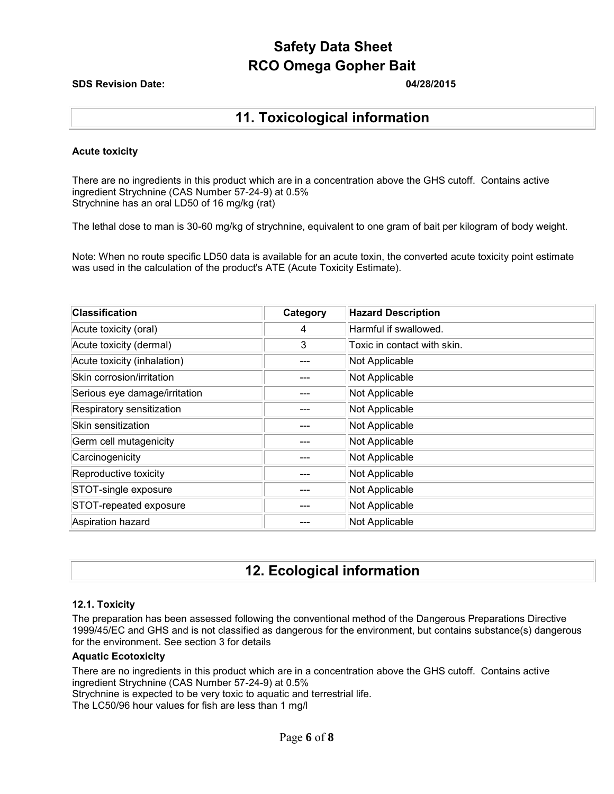#### **SDS Revision Date: 04/28/2015**

## **11. Toxicological information**

#### **Acute toxicity**

There are no ingredients in this product which are in a concentration above the GHS cutoff. Contains active ingredient Strychnine (CAS Number 57-24-9) at 0.5% Strychnine has an oral LD50 of 16 mg/kg (rat)

The lethal dose to man is 30-60 mg/kg of strychnine, equivalent to one gram of bait per kilogram of body weight.

Note: When no route specific LD50 data is available for an acute toxin, the converted acute toxicity point estimate was used in the calculation of the product's ATE (Acute Toxicity Estimate).

| <b>Classification</b>         | Category | <b>Hazard Description</b>   |
|-------------------------------|----------|-----------------------------|
| Acute toxicity (oral)         | 4        | Harmful if swallowed.       |
| Acute toxicity (dermal)       | 3        | Toxic in contact with skin. |
| Acute toxicity (inhalation)   |          | Not Applicable              |
| Skin corrosion/irritation     |          | Not Applicable              |
| Serious eye damage/irritation |          | Not Applicable              |
| Respiratory sensitization     |          | Not Applicable              |
| Skin sensitization            |          | Not Applicable              |
| Germ cell mutagenicity        |          | Not Applicable              |
| Carcinogenicity               |          | Not Applicable              |
| Reproductive toxicity         |          | Not Applicable              |
| STOT-single exposure          |          | Not Applicable              |
| STOT-repeated exposure        |          | Not Applicable              |
| Aspiration hazard             |          | Not Applicable              |

# **12. Ecological information**

#### **12.1. Toxicity**

The preparation has been assessed following the conventional method of the Dangerous Preparations Directive 1999/45/EC and GHS and is not classified as dangerous for the environment, but contains substance(s) dangerous for the environment. See section 3 for details

#### **Aquatic Ecotoxicity**

There are no ingredients in this product which are in a concentration above the GHS cutoff. Contains active ingredient Strychnine (CAS Number 57-24-9) at 0.5%

Strychnine is expected to be very toxic to aquatic and terrestrial life.

The LC50/96 hour values for fish are less than 1 mg/l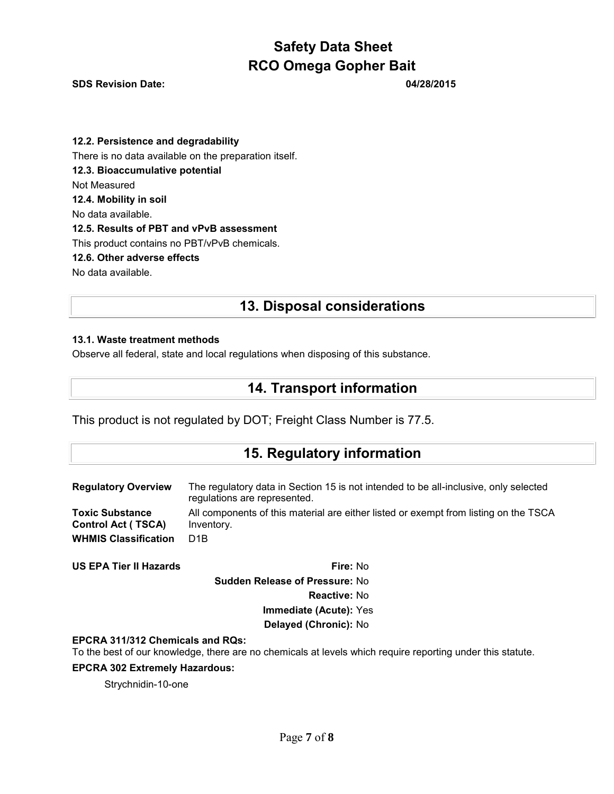**SDS Revision Date: 04/28/2015** 

**12.2. Persistence and degradability** There is no data available on the preparation itself. **12.3. Bioaccumulative potential** Not Measured **12.4. Mobility in soil** No data available. **12.5. Results of PBT and vPvB assessment** This product contains no PBT/vPvB chemicals. **12.6. Other adverse effects** No data available.

# **13. Disposal considerations**

### **13.1. Waste treatment methods**

Observe all federal, state and local regulations when disposing of this substance.

# **14. Transport information**

This product is not regulated by DOT; Freight Class Number is 77.5.

## **15. Regulatory information**

| <b>Regulatory Overview</b>  | The regulatory data in Section 15 is not intended to be all-inclusive, only selected<br>regulations are represented. |
|-----------------------------|----------------------------------------------------------------------------------------------------------------------|
| <b>Toxic Substance</b>      | All components of this material are either listed or exempt from listing on the TSCA                                 |
| <b>Control Act (TSCA)</b>   | Inventory.                                                                                                           |
| <b>WHMIS Classification</b> | D1B                                                                                                                  |

**US EPA Tier II Hazards Fire:** No **Sudden Release of Pressure:** No **Reactive:** No **Immediate (Acute):** Yes **Delayed (Chronic):** No

#### **EPCRA 311/312 Chemicals and RQs:**

To the best of our knowledge, there are no chemicals at levels which require reporting under this statute.

### **EPCRA 302 Extremely Hazardous:**

Strychnidin-10-one